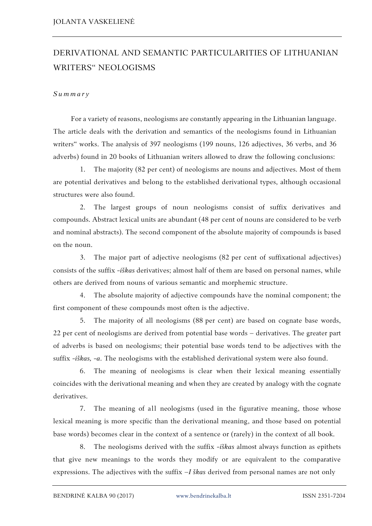## DERIVATIONAL AND SEMANTIC PARTICULARITIES OF LITHUANIAN WRITERS" NEOLOGISMS

## *S u m m a r y*

For a variety of reasons, neologisms are constantly appearing in the Lithuanian language. The article deals with the derivation and semantics of the neologisms found in Lithuanian writers" works. The analysis of 397 neologisms (199 nouns, 126 adjectives, 36 verbs, and 36 adverbs) found in 20 books of Lithuanian writers allowed to draw the following conclusions:

1. The majority (82 per cent) of neologisms are nouns and adjectives. Most of them are potential derivatives and belong to the established derivational types, although occasional structures were also found.

2. The largest groups of noun neologisms consist of suffix derivatives and compounds. Abstract lexical units are abundant (48 per cent of nouns are considered to be verb and nominal abstracts). The second component of the absolute majority of compounds is based on the noun.

3. The major part of adjective neologisms (82 per cent of suffixational adjectives) consists of the suffix -*iškas* derivatives; almost half of them are based on personal names, while others are derived from nouns of various semantic and morphemic structure.

4. The absolute majority of adjective compounds have the nominal component; the first component of these compounds most often is the adjective.

5. The majority of all neologisms (88 per cent) are based on cognate base words, 22 per cent of neologisms are derived from potential base words – derivatives. The greater part of adverbs is based on neologisms; their potential base words tend to be adjectives with the suffix -*iškas, -a*. The neologisms with the established derivational system were also found.

6. The meaning of neologisms is clear when their lexical meaning essentially coincides with the derivational meaning and when they are created by analogy with the cognate derivatives.

7. The meaning of all neologisms (used in the figurative meaning, those whose lexical meaning is more specific than the derivational meaning, and those based on potential base words) becomes clear in the context of a sentence or (rarely) in the context of all book*.*

8. The neologisms derived with the suffix -*iškas* almost always function as epithets that give new meanings to the words they modify or are equivalent to the comparative expressions. The adjectives with the suffix –*I škas* derived from personal names are not only